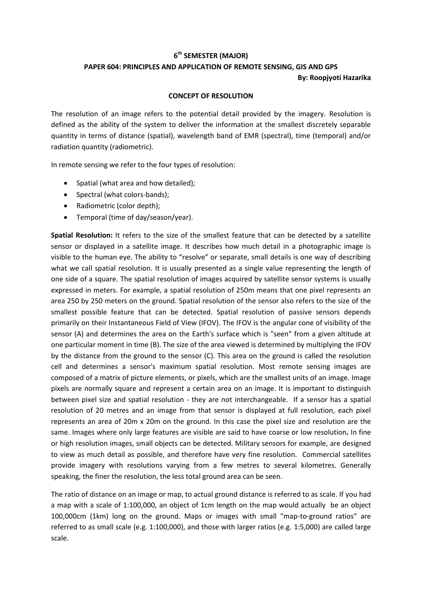## **6 th SEMESTER (MAJOR)**

## **PAPER 604: PRINCIPLES AND APPLICATION OF REMOTE SENSING, GIS AND GPS By: Roopjyoti Hazarika**

## **CONCEPT OF RESOLUTION**

The resolution of an image refers to the potential detail provided by the imagery. Resolution is defined as the ability of the system to deliver the information at the smallest discretely separable quantity in terms of distance (spatial), wavelength band of EMR (spectral), time (temporal) and/or radiation quantity (radiometric).

In remote sensing we refer to the four types of resolution:

- Spatial (what area and how detailed):
- Spectral (what colors-bands);
- Radiometric (color depth);
- Temporal (time of day/season/year).

**Spatial Resolution:** It refers to the size of the smallest feature that can be detected by a satellite sensor or displayed in a satellite image. It describes how much detail in a photographic image is visible to the human eye. The ability to "resolve" or separate, small details is one way of describing what we call spatial resolution. It is usually presented as a single value representing the length of one side of a square. The spatial resolution of images acquired by satellite sensor systems is usually expressed in meters. For example, a spatial resolution of 250m means that one pixel represents an area 250 by 250 meters on the ground. Spatial resolution of the sensor also refers to the size of the smallest possible feature that can be detected. Spatial resolution of passive sensors depends primarily on their Instantaneous Field of View (IFOV). The IFOV is the angular cone of visibility of the sensor (A) and determines the area on the Earth's surface which is "seen" from a given altitude at one particular moment in time (B). The size of the area viewed is determined by multiplying the IFOV by the distance from the ground to the sensor (C). This area on the ground is called the resolution cell and determines a sensor's maximum spatial resolution. Most remote sensing images are composed of a matrix of picture elements, or pixels, which are the smallest units of an image. Image pixels are normally square and represent a certain area on an image. It is important to distinguish between pixel size and spatial resolution - they are not interchangeable. If a sensor has a spatial resolution of 20 metres and an image from that sensor is displayed at full resolution, each pixel represents an area of 20m x 20m on the ground. In this case the pixel size and resolution are the same. Images where only large features are visible are said to have coarse or low resolution**.** In fine or high resolution images, small objects can be detected. Military sensors for example, are designed to view as much detail as possible, and therefore have very fine resolution. Commercial satellites provide imagery with resolutions varying from a few metres to several kilometres. Generally speaking, the finer the resolution, the less total ground area can be seen.

The ratio of distance on an image or map, to actual ground distance is referred to as scale. If you had a map with a scale of 1:100,000, an object of 1cm length on the map would actually be an object 100,000cm (1km) long on the ground. Maps or images with small "map-to-ground ratios" are referred to as small scale (e.g. 1:100,000), and those with larger ratios (e.g. 1:5,000) are called large scale.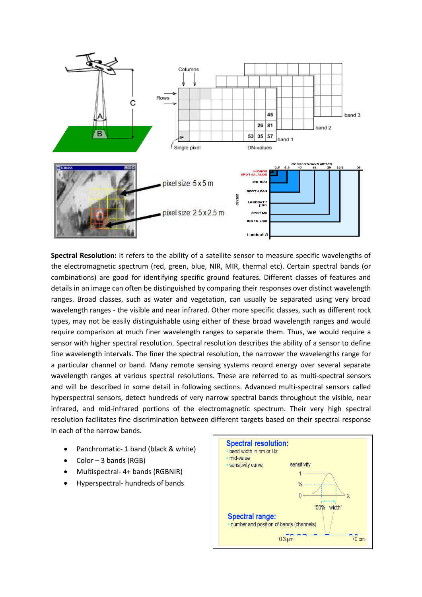

**Spectral Resolution:** It refers to the ability of a satellite sensor to measure specific wavelengths of the electromagnetic spectrum (red, green, blue, NIR, MIR, thermal etc). Certain spectral bands (or combinations) are good for identifying specific ground features. Different classes of features and details in an image can often be distinguished by comparing their responses over distinct wavelength ranges. Broad classes, such as water and vegetation, can usually be separated using very broad wavelength ranges - the visible and near infrared. Other more specific classes, such as different rock types, may not be easily distinguishable using either of these broad wavelength ranges and would require comparison at much finer wavelength ranges to separate them. Thus, we would require a sensor with higher spectral resolution. Spectral resolution describes the ability of a sensor to define fine wavelength intervals. The finer the spectral resolution, the narrower the wavelengths range for a particular channel or band. Many remote sensing systems record energy over several separate wavelength ranges at various spectral resolutions. These are referred to as multi-spectral sensors and will be described in some detail in following sections. Advanced multi-spectral sensors called hyperspectral sensors, detect hundreds of very narrow spectral bands throughout the visible, near infrared, and mid-infrared portions of the electromagnetic spectrum. Their very high spectral resolution facilitates fine discrimination between different targets based on their spectral response in each of the narrow bands.

- Panchromatic- 1 band (black & white)
- $\bullet$  Color 3 bands (RGB)
- Multispectral- 4+ bands (RGBNIR)
- Hyperspectral- hundreds of bands

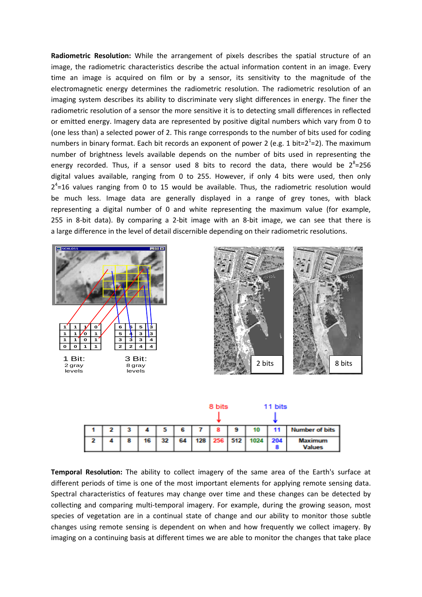**Radiometric Resolution:** While the arrangement of pixels describes the spatial structure of an image, the radiometric characteristics describe the actual information content in an image. Every time an image is acquired on film or by a sensor, its sensitivity to the magnitude of the electromagnetic energy determines the radiometric resolution. The radiometric resolution of an imaging system describes its ability to discriminate very slight differences in energy. The finer the radiometric resolution of a sensor the more sensitive it is to detecting small differences in reflected or emitted energy. Imagery data are represented by positive digital numbers which vary from 0 to (one less than) a selected power of 2. This range corresponds to the number of bits used for coding numbers in binary format. Each bit records an exponent of power 2 (e.g. 1 bit=2<sup>1</sup>=2). The maximum number of brightness levels available depends on the number of bits used in representing the energy recorded. Thus, if a sensor used 8 bits to record the data, there would be  $2^{8}$ =256 digital values available, ranging from 0 to 255. However, if only 4 bits were used, then only  $2<sup>4</sup>=16$  values ranging from 0 to 15 would be available. Thus, the radiometric resolution would be much less. Image data are generally displayed in a range of grey tones, with black representing a digital number of 0 and white representing the maximum value (for example, 255 in 8-bit data). By comparing a 2-bit image with an 8-bit image, we can see that there is a large difference in the level of detail discernible depending on their radiometric resolutions.





|  |   |    |    |    | 8 bits |   |                        | 11 bits |                                 |
|--|---|----|----|----|--------|---|------------------------|---------|---------------------------------|
|  | з |    |    | 6  |        | 9 | 10                     |         | Number of bits                  |
|  | 8 | 16 | 32 | 64 |        |   | 128   256   512   1024 | 204     | <b>Maximum</b><br><b>Values</b> |

**Temporal Resolution:** The ability to collect imagery of the same area of the Earth's surface at different periods of time is one of the most important elements for applying remote sensing data. Spectral characteristics of features may change over time and these changes can be detected by collecting and comparing multi-temporal imagery. For example, during the growing season, most species of vegetation are in a continual state of change and our ability to monitor those subtle changes using remote sensing is dependent on when and how frequently we collect imagery. By imaging on a continuing basis at different times we are able to monitor the changes that take place